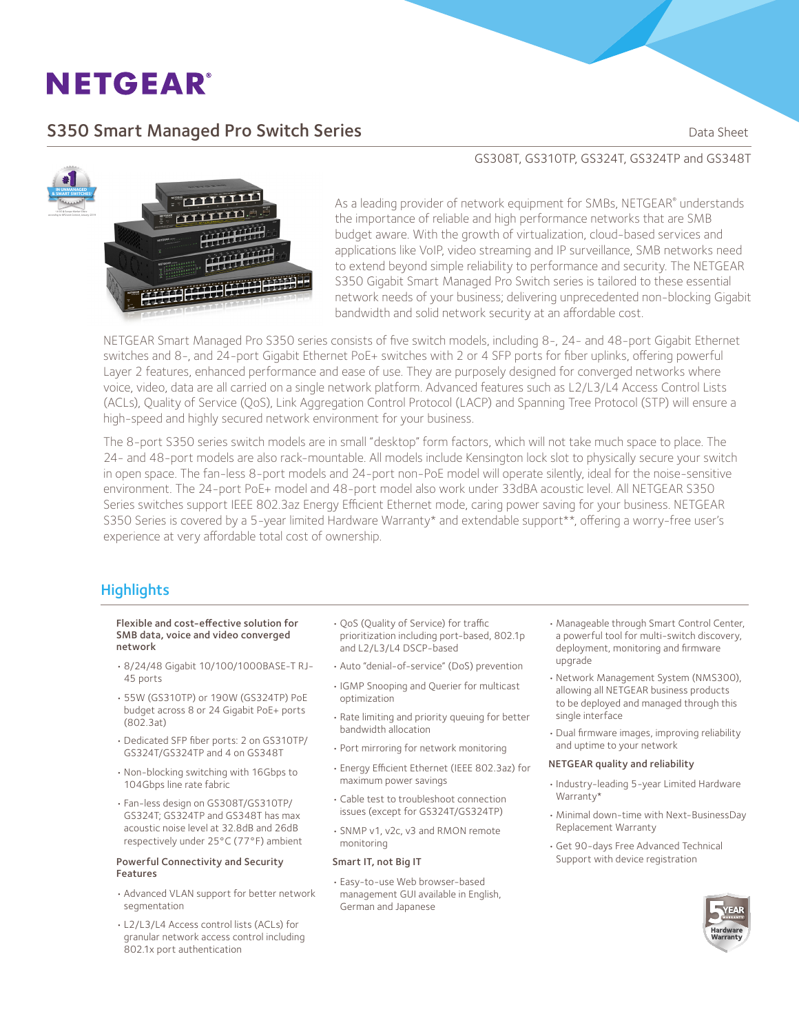# **NETGEAR®**

## S350 Smart Managed Pro Switch Series **Sandware Communist Control** Data Sheet



### GS308T, GS310TP, GS324T, GS324TP and GS348T

As a leading provider of network equipment for SMBs, NETGEAR® understands the importance of reliable and high performance networks that are SMB budget aware. With the growth of virtualization, cloud-based services and applications like VoIP, video streaming and IP surveillance, SMB networks need to extend beyond simple reliability to performance and security. The NETGEAR S350 Gigabit Smart Managed Pro Switch series is tailored to these essential network needs of your business; delivering unprecedented non-blocking Gigabit bandwidth and solid network security at an affordable cost.

NETGEAR Smart Managed Pro S350 series consists of five switch models, including 8-, 24- and 48-port Gigabit Ethernet switches and 8-, and 24-port Gigabit Ethernet PoE+ switches with 2 or 4 SFP ports for fiber uplinks, offering powerful Layer 2 features, enhanced performance and ease of use. They are purposely designed for converged networks where voice, video, data are all carried on a single network platform. Advanced features such as L2/L3/L4 Access Control Lists (ACLs), Quality of Service (QoS), Link Aggregation Control Protocol (LACP) and Spanning Tree Protocol (STP) will ensure a high-speed and highly secured network environment for your business.

The 8-port S350 series switch models are in small "desktop" form factors, which will not take much space to place. The 24- and 48-port models are also rack-mountable. All models include Kensington lock slot to physically secure your switch in open space. The fan-less 8-port models and 24-port non-PoE model will operate silently, ideal for the noise-sensitive environment. The 24-port PoE+ model and 48-port model also work under 33dBA acoustic level. All NETGEAR S350 Series switches support IEEE 802.3az Energy Efficient Ethernet mode, caring power saving for your business. NETGEAR S350 Series is covered by a 5-year limited Hardware Warranty\* and extendable support\*\*, offering a worry-free user's experience at very affordable total cost of ownership.

### **Highlights**

#### Flexible and cost-effective solution for SMB data, voice and video converged network

- • 8/24/48 Gigabit 10/100/1000BASE-T RJ-45 ports
- • 55W (GS310TP) or 190W (GS324TP) PoE budget across 8 or 24 Gigabit PoE+ ports (802.3at)
- • Dedicated SFP fiber ports: 2 on GS310TP/ GS324T/GS324TP and 4 on GS348T
- • Non-blocking switching with 16Gbps to 104Gbps line rate fabric
- • Fan-less design on GS308T/GS310TP/ GS324T; GS324TP and GS348T has max acoustic noise level at 32.8dB and 26dB respectively under 25°C (77°F) ambient

#### Powerful Connectivity and Security Features

- • Advanced VLAN support for better network segmentation
- • L2/L3/L4 Access control lists (ACLs) for granular network access control including 802.1x port authentication
- • QoS (Quality of Service) for traffic prioritization including port-based, 802.1p and L2/L3/L4 DSCP-based
- • Auto "denial-of-service" (DoS) prevention
- • IGMP Snooping and Querier for multicast optimization
- • Rate limiting and priority queuing for better bandwidth allocation
- • Port mirroring for network monitoring
- • Energy Efficient Ethernet (IEEE 802.3az) for maximum power savings
- • Cable test to troubleshoot connection issues (except for GS324T/GS324TP)
- • SNMP v1, v2c, v3 and RMON remote monitoring

#### Smart IT, not Big IT

• Easy-to-use Web browser-based management GUI available in English, German and Japanese

- • Manageable through Smart Control Center, a powerful tool for multi-switch discovery, deployment, monitoring and firmware upgrade
- • Network Management System (NMS300), allowing all NETGEAR business products to be deployed and managed through this single interface
- • Dual firmware images, improving reliability and uptime to your network

#### NETGEAR quality and reliability

- • Industry-leading 5-year Limited Hardware Warranty\*
- • Minimal down-time with Next-BusinessDay Replacement Warranty
- • Get 90-days Free Advanced Technical Support with device registration